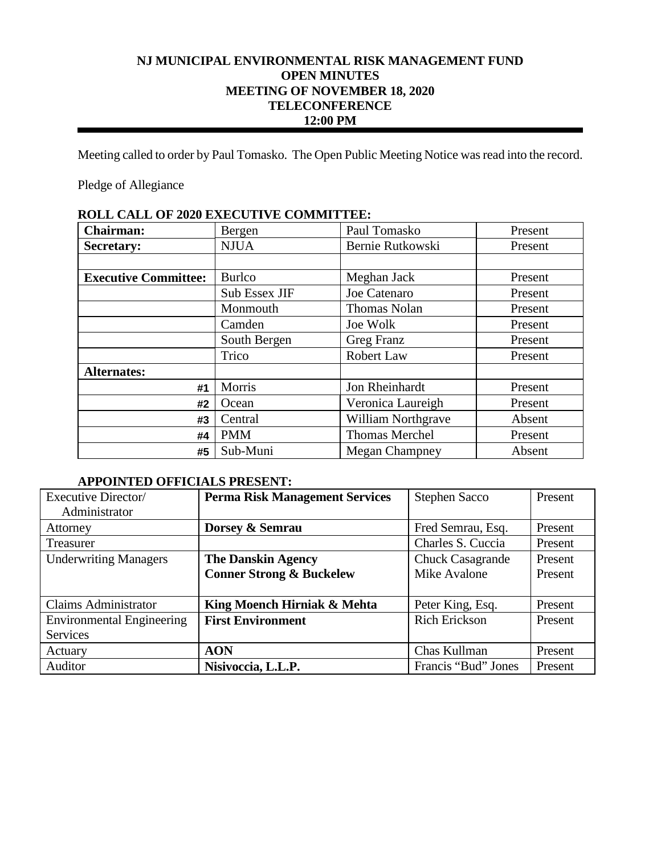# **NJ MUNICIPAL ENVIRONMENTAL RISK MANAGEMENT FUND OPEN MINUTES MEETING OF NOVEMBER 18, 2020 TELECONFERENCE 12:00 PM**

Meeting called to order by Paul Tomasko. The Open Public Meeting Notice was read into the record.

Pledge of Allegiance

| КОПР САПР ОТ 2020 ЕАРССТГУР СОММИТТЕР. |               |                           |         |  |
|----------------------------------------|---------------|---------------------------|---------|--|
| <b>Chairman:</b>                       | Bergen        | Paul Tomasko              | Present |  |
| <b>Secretary:</b>                      | <b>NJUA</b>   | Bernie Rutkowski          | Present |  |
|                                        |               |                           |         |  |
| <b>Executive Committee:</b>            | <b>Burlco</b> | Meghan Jack               | Present |  |
|                                        | Sub Essex JIF | Joe Catenaro              | Present |  |
|                                        | Monmouth      | Thomas Nolan              | Present |  |
|                                        | Camden        | Joe Wolk                  | Present |  |
|                                        | South Bergen  | Greg Franz                | Present |  |
|                                        | Trico         | Robert Law                | Present |  |
| <b>Alternates:</b>                     |               |                           |         |  |
| #1                                     | Morris        | Jon Rheinhardt            | Present |  |
| #2                                     | Ocean         | Veronica Laureigh         | Present |  |
| #3                                     | Central       | <b>William Northgrave</b> | Absent  |  |
| #4                                     | <b>PMM</b>    | <b>Thomas Merchel</b>     | Present |  |
| #5                                     | Sub-Muni      | <b>Megan Champney</b>     | Absent  |  |

# **ROLL CALL OF 2020 EXECUTIVE COMMITTEE:**

# **APPOINTED OFFICIALS PRESENT:**

| Executive Director/              | <b>Perma Risk Management Services</b> | <b>Stephen Sacco</b>    | Present |
|----------------------------------|---------------------------------------|-------------------------|---------|
| Administrator                    |                                       |                         |         |
| Attorney                         | Dorsey & Semrau                       | Fred Semrau, Esq.       | Present |
| Treasurer                        |                                       | Charles S. Cuccia       | Present |
| <b>Underwriting Managers</b>     | <b>The Danskin Agency</b>             | <b>Chuck Casagrande</b> | Present |
|                                  | <b>Conner Strong &amp; Buckelew</b>   | Mike Avalone            | Present |
|                                  |                                       |                         |         |
| <b>Claims Administrator</b>      | King Moench Hirniak & Mehta           | Peter King, Esq.        | Present |
| <b>Environmental Engineering</b> | <b>First Environment</b>              | <b>Rich Erickson</b>    | Present |
| Services                         |                                       |                         |         |
| Actuary                          | <b>AON</b>                            | Chas Kullman            | Present |
| Auditor                          | Nisivoccia, L.L.P.                    | Francis "Bud" Jones     | Present |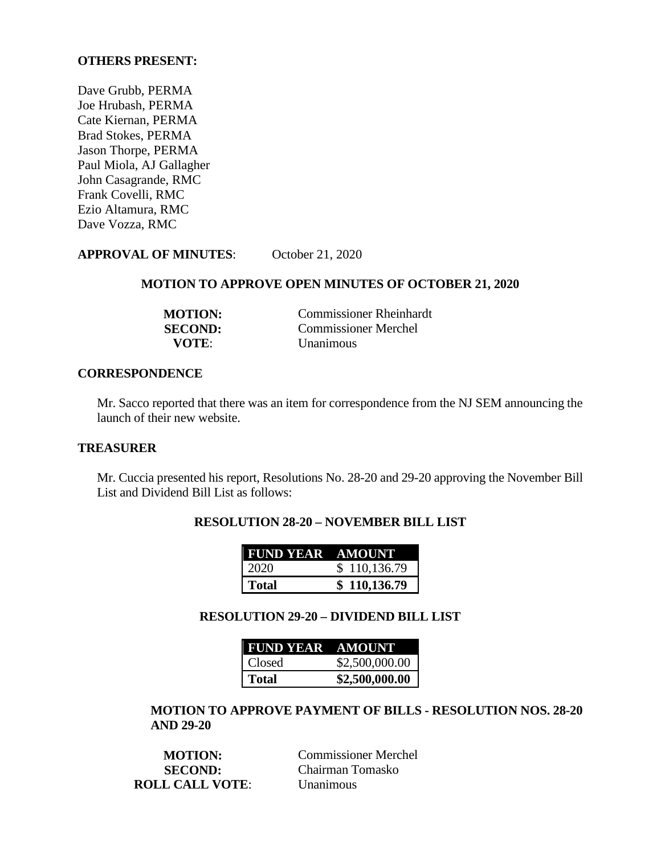## **OTHERS PRESENT:**

Dave Grubb, PERMA Joe Hrubash, PERMA Cate Kiernan, PERMA Brad Stokes, PERMA Jason Thorpe, PERMA Paul Miola, AJ Gallagher John Casagrande, RMC Frank Covelli, RMC Ezio Altamura, RMC Dave Vozza, RMC

# **APPROVAL OF MINUTES**: October 21, 2020

# **MOTION TO APPROVE OPEN MINUTES OF OCTOBER 21, 2020**

| <b>MOTION:</b> | <b>Commissioner Rheinhardt</b> |
|----------------|--------------------------------|
| <b>SECOND:</b> | Commissioner Merchel           |
| VOTE:          | <b>Unanimous</b>               |

#### **CORRESPONDENCE**

Mr. Sacco reported that there was an item for correspondence from the NJ SEM announcing the launch of their new website.

#### **TREASURER**

Mr. Cuccia presented his report, Resolutions No. 28-20 and 29-20 approving the November Bill List and Dividend Bill List as follows:

| <b>RESOLUTION 28-20 - NOVEMBER BILL LIST</b> |  |
|----------------------------------------------|--|
|                                              |  |
| $\mathbf{I}$                                 |  |

| <b>FUND YEAR AMOUNT</b> |              |
|-------------------------|--------------|
| 2020                    | \$110,136.79 |
| Total                   | \$110,136.79 |

# **RESOLUTION 29-20 – DIVIDEND BILL LIST**

| <b>FUND YEAR AMOUNT</b> |                |
|-------------------------|----------------|
| Closed                  | \$2,500,000.00 |
| Total                   | \$2,500,000.00 |

# **MOTION TO APPROVE PAYMENT OF BILLS - RESOLUTION NOS. 28-20 AND 29-20**

| <b>MOTION:</b>         | <b>Commissioner Merchel</b> |
|------------------------|-----------------------------|
| <b>SECOND:</b>         | Chairman Tomasko            |
| <b>ROLL CALL VOTE:</b> | <b>Unanimous</b>            |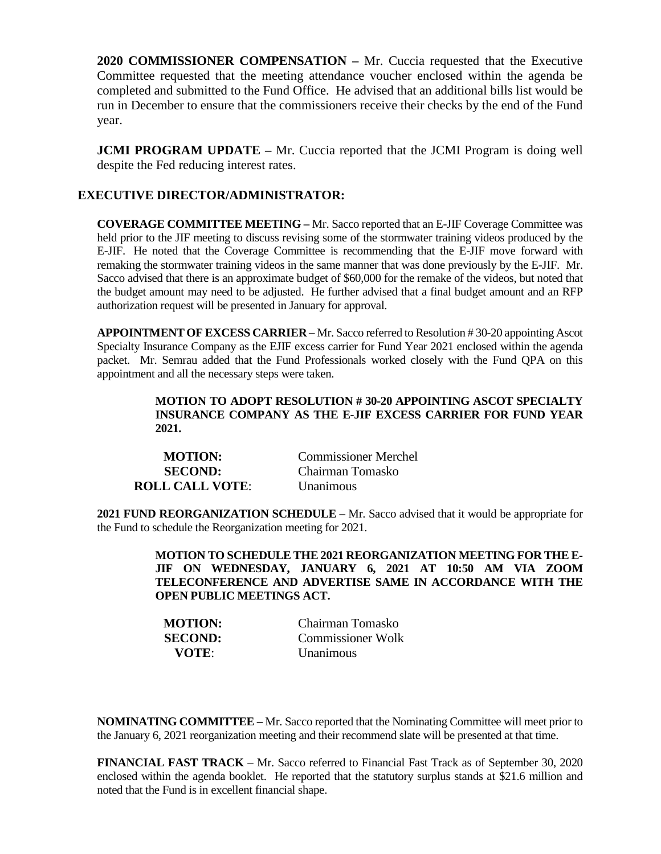**2020 COMMISSIONER COMPENSATION –** Mr. Cuccia requested that the Executive Committee requested that the meeting attendance voucher enclosed within the agenda be completed and submitted to the Fund Office. He advised that an additional bills list would be run in December to ensure that the commissioners receive their checks by the end of the Fund year.

**JCMI PROGRAM UPDATE** – Mr. Cuccia reported that the JCMI Program is doing well despite the Fed reducing interest rates.

# **EXECUTIVE DIRECTOR/ADMINISTRATOR:**

**COVERAGE COMMITTEE MEETING –** Mr. Sacco reported that an E-JIF Coverage Committee was held prior to the JIF meeting to discuss revising some of the stormwater training videos produced by the E-JIF. He noted that the Coverage Committee is recommending that the E-JIF move forward with remaking the stormwater training videos in the same manner that was done previously by the E-JIF. Mr. Sacco advised that there is an approximate budget of \$60,000 for the remake of the videos, but noted that the budget amount may need to be adjusted. He further advised that a final budget amount and an RFP authorization request will be presented in January for approval.

**APPOINTMENT OF EXCESS CARRIER –** Mr. Sacco referred to Resolution # 30-20 appointing Ascot Specialty Insurance Company as the EJIF excess carrier for Fund Year 2021 enclosed within the agenda packet. Mr. Semrau added that the Fund Professionals worked closely with the Fund QPA on this appointment and all the necessary steps were taken.

## **MOTION TO ADOPT RESOLUTION # 30-20 APPOINTING ASCOT SPECIALTY INSURANCE COMPANY AS THE E-JIF EXCESS CARRIER FOR FUND YEAR 2021.**

| <b>MOTION:</b>         | <b>Commissioner Merchel</b> |
|------------------------|-----------------------------|
| <b>SECOND:</b>         | Chairman Tomasko            |
| <b>ROLL CALL VOTE:</b> | Unanimous                   |

**2021 FUND REORGANIZATION SCHEDULE –** Mr. Sacco advised that it would be appropriate for the Fund to schedule the Reorganization meeting for 2021.

> **MOTION TO SCHEDULE THE 2021 REORGANIZATION MEETING FOR THE E-JIF ON WEDNESDAY, JANUARY 6, 2021 AT 10:50 AM VIA ZOOM TELECONFERENCE AND ADVERTISE SAME IN ACCORDANCE WITH THE OPEN PUBLIC MEETINGS ACT.**

| <b>MOTION:</b> | Chairman Tomasko  |
|----------------|-------------------|
| <b>SECOND:</b> | Commissioner Wolk |
| <b>VOTE:</b>   | <b>Unanimous</b>  |

**NOMINATING COMMITTEE –** Mr. Sacco reported that the Nominating Committee will meet prior to the January 6, 2021 reorganization meeting and their recommend slate will be presented at that time.

**FINANCIAL FAST TRACK** – Mr. Sacco referred to Financial Fast Track as of September 30, 2020 enclosed within the agenda booklet. He reported that the statutory surplus stands at \$21.6 million and noted that the Fund is in excellent financial shape.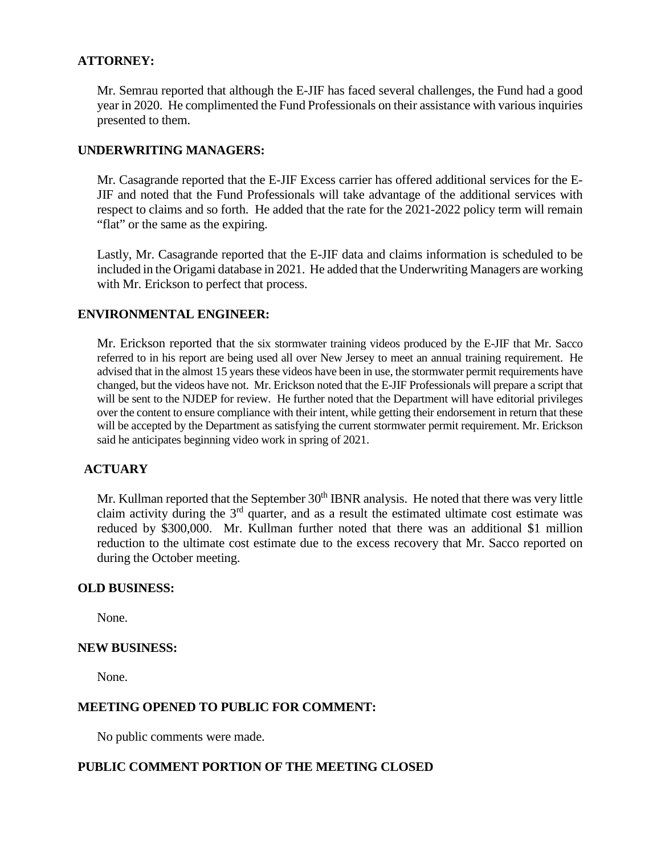# **ATTORNEY:**

Mr. Semrau reported that although the E-JIF has faced several challenges, the Fund had a good year in 2020. He complimented the Fund Professionals on their assistance with various inquiries presented to them.

## **UNDERWRITING MANAGERS:**

Mr. Casagrande reported that the E-JIF Excess carrier has offered additional services for the E-JIF and noted that the Fund Professionals will take advantage of the additional services with respect to claims and so forth. He added that the rate for the 2021-2022 policy term will remain "flat" or the same as the expiring.

Lastly, Mr. Casagrande reported that the E-JIF data and claims information is scheduled to be included in the Origami database in 2021. He added that the Underwriting Managers are working with Mr. Erickson to perfect that process.

# **ENVIRONMENTAL ENGINEER:**

Mr. Erickson reported that the six stormwater training videos produced by the E-JIF that Mr. Sacco referred to in his report are being used all over New Jersey to meet an annual training requirement. He advised that in the almost 15 years these videos have been in use, the stormwater permit requirements have changed, but the videos have not. Mr. Erickson noted that the E-JIF Professionals will prepare a script that will be sent to the NJDEP for review. He further noted that the Department will have editorial privileges over the content to ensure compliance with their intent, while getting their endorsement in return that these will be accepted by the Department as satisfying the current stormwater permit requirement. Mr. Erickson said he anticipates beginning video work in spring of 2021.

# **ACTUARY**

Mr. Kullman reported that the September  $30<sup>th</sup>$  IBNR analysis. He noted that there was very little claim activity during the  $3<sup>rd</sup>$  quarter, and as a result the estimated ultimate cost estimate was reduced by \$300,000. Mr. Kullman further noted that there was an additional \$1 million reduction to the ultimate cost estimate due to the excess recovery that Mr. Sacco reported on during the October meeting.

# **OLD BUSINESS:**

None.

#### **NEW BUSINESS:**

None.

### **MEETING OPENED TO PUBLIC FOR COMMENT:**

No public comments were made.

#### **PUBLIC COMMENT PORTION OF THE MEETING CLOSED**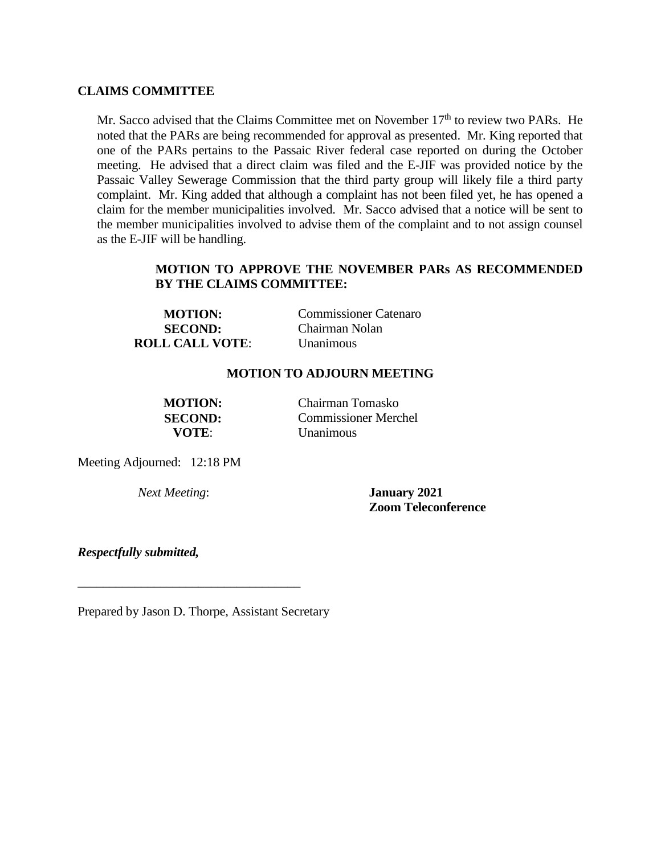## **CLAIMS COMMITTEE**

Mr. Sacco advised that the Claims Committee met on November  $17<sup>th</sup>$  to review two PARs. He noted that the PARs are being recommended for approval as presented. Mr. King reported that one of the PARs pertains to the Passaic River federal case reported on during the October meeting. He advised that a direct claim was filed and the E-JIF was provided notice by the Passaic Valley Sewerage Commission that the third party group will likely file a third party complaint. Mr. King added that although a complaint has not been filed yet, he has opened a claim for the member municipalities involved. Mr. Sacco advised that a notice will be sent to the member municipalities involved to advise them of the complaint and to not assign counsel as the E-JIF will be handling.

# **MOTION TO APPROVE THE NOVEMBER PARs AS RECOMMENDED BY THE CLAIMS COMMITTEE:**

| <b>MOTION:</b>         | <b>Commissioner Catenaro</b> |
|------------------------|------------------------------|
| <b>SECOND:</b>         | Chairman Nolan               |
| <b>ROLL CALL VOTE:</b> | <b>Unanimous</b>             |

## **MOTION TO ADJOURN MEETING**

**MOTION:** Chairman Tomasko **SECOND:** Commissioner Merchel **VOTE**: Unanimous

Meeting Adjourned: 12:18 PM

*Next Meeting*: **January 2021 Zoom Teleconference** 

*Respectfully submitted,*

Prepared by Jason D. Thorpe, Assistant Secretary

\_\_\_\_\_\_\_\_\_\_\_\_\_\_\_\_\_\_\_\_\_\_\_\_\_\_\_\_\_\_\_\_\_\_\_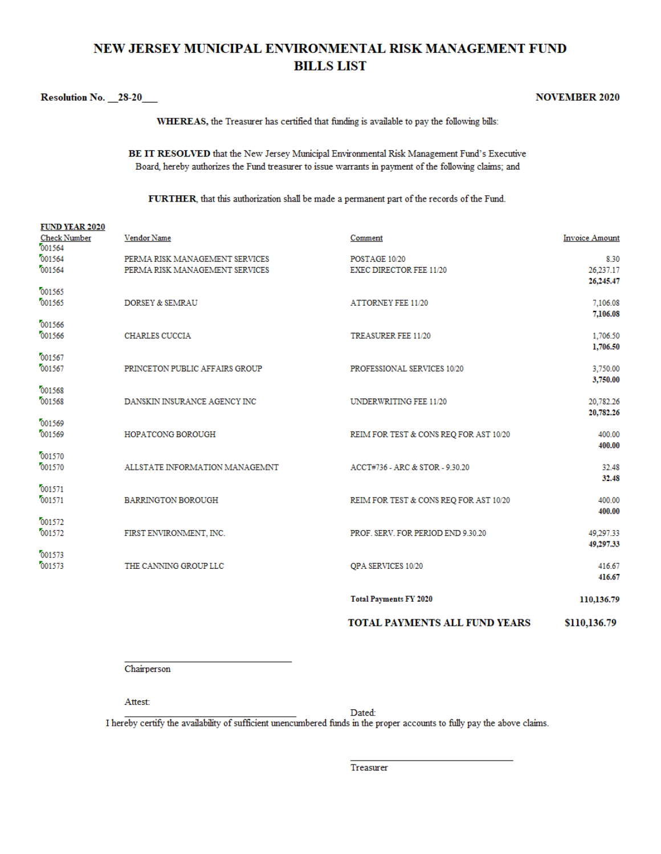# NEW JERSEY MUNICIPAL ENVIRONMENTAL RISK MANAGEMENT FUND **BILLS LIST**

#### Resolution No. 28-20

#### **NOVEMBER 2020**

WHEREAS, the Treasurer has certified that funding is available to pay the following bills:

BE IT RESOLVED that the New Jersey Municipal Environmental Risk Management Fund's Executive Board, hereby authorizes the Fund treasurer to issue warrants in payment of the following claims; and

FURTHER, that this authorization shall be made a permanent part of the records of the Fund.

|                                                        |                                                                  | <b>TOTAL PAYMENTS ALL FUND YEARS</b>            | \$110,136.79                     |
|--------------------------------------------------------|------------------------------------------------------------------|-------------------------------------------------|----------------------------------|
|                                                        |                                                                  | <b>Total Payments FY 2020</b>                   | 110,136.79                       |
| 001573<br>001573                                       | THE CANNING GROUP LLC                                            | QPA SERVICES 10/20                              | 416.67<br>416.67                 |
| 001572<br>001572                                       | FIRST ENVIRONMENT, INC.                                          | PROF. SERV. FOR PERIOD END 9.30.20              | 49,297.33<br>49,297.33           |
| 001571<br>001571                                       | <b>BARRINGTON BOROUGH</b>                                        | REIM FOR TEST & CONS REQ FOR AST 10/20          | 400.00<br>400.00                 |
| 001570<br>001570                                       | ALLSTATE INFORMATION MANAGEMNT                                   | ACCT#736 - ARC & STOR - 9.30.20                 | 32.48<br>32.48                   |
| 001569<br>001569                                       | <b>HOPATCONG BOROUGH</b>                                         | REIM FOR TEST & CONS REQ FOR AST 10/20          | 400.00<br>400.00                 |
| 001568<br>001568                                       | DANSKIN INSURANCE AGENCY INC                                     | UNDERWRITING FEE 11/20                          | 20,782.26<br>20,782.26           |
| 001567<br>001567                                       | PRINCETON PUBLIC AFFAIRS GROUP                                   | PROFESSIONAL SERVICES 10/20                     | 1,706.50<br>3,750.00<br>3,750.00 |
| 001566<br>001566                                       | <b>CHARLES CUCCIA</b>                                            | TREASURER FEE 11/20                             | 1,706.50                         |
| 001565<br>001565                                       | <b>DORSEY &amp; SEMRAU</b>                                       | <b>ATTORNEY FEE 11/20</b>                       | 7.106.08<br>7,106.08             |
| 001564<br>001564                                       | PERMA RISK MANAGEMENT SERVICES<br>PERMA RISK MANAGEMENT SERVICES | POSTAGE 10/20<br><b>EXEC DIRECTOR FEE 11/20</b> | 8.30<br>26,237.17<br>26,245.47   |
| <b>FUND YEAR 2020</b><br><b>Check Number</b><br>001564 | Vendor Name                                                      | Comment                                         | <b>Invoice Amount</b>            |

Chairperson

Attest:

Dated:

I hereby certify the availability of sufficient unencumbered funds in the proper accounts to fully pay the above claims.

Treasurer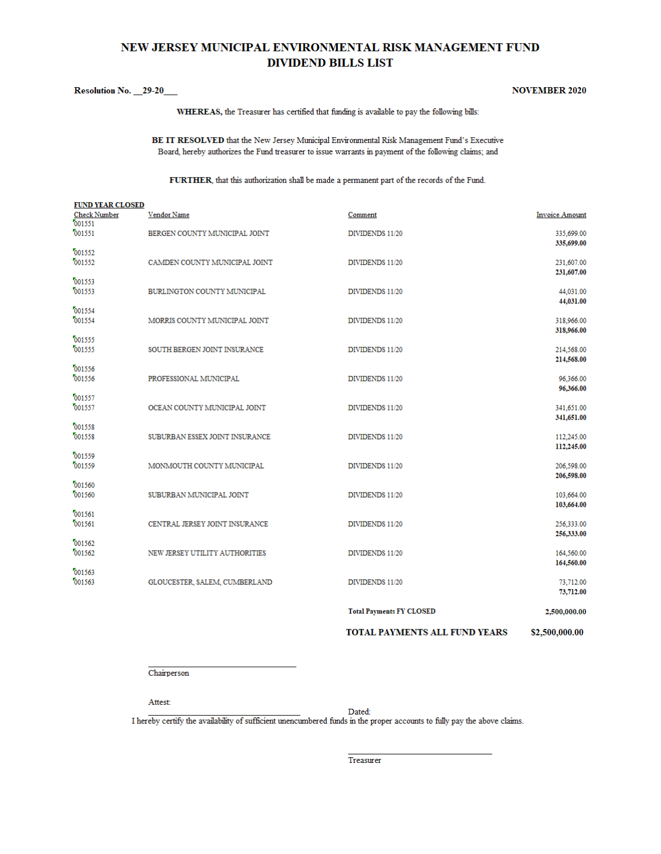# NEW JERSEY MUNICIPAL ENVIRONMENTAL RISK MANAGEMENT FUND **DIVIDEND BILLS LIST**

#### Resolution No. 29-20

#### **NOVEMBER 2020**

WHEREAS, the Treasurer has certified that funding is available to pay the following bills:

BE IT RESOLVED that the New Jersey Municipal Environmental Risk Management Fund's Executive Board, hereby authorizes the Fund treasurer to issue warrants in payment of the following claims; and

FURTHER, that this authorization shall be made a permanent part of the records of the Fund.

| <b>FUND YEAR CLOSED</b>       |                                |                                 |                          |
|-------------------------------|--------------------------------|---------------------------------|--------------------------|
| <b>Check Number</b><br>001551 | Vendor Name                    | Comment                         | <b>Invoice Amount</b>    |
| 001551                        | BERGEN COUNTY MUNICIPAL JOINT  | DIVIDENDS 11/20                 | 335,699.00               |
| 001552                        |                                |                                 | 335,699.00               |
| 001552                        | CAMDEN COUNTY MUNICIPAL JOINT  | DIVIDENDS 11/20                 | 231,607.00<br>231,607.00 |
| 001553                        |                                |                                 |                          |
| 001553                        | BURLINGTON COUNTY MUNICIPAL    | DIVIDENDS 11/20                 | 44,031.00<br>44,031.00   |
| 001554                        |                                |                                 |                          |
| 001554                        | MORRIS COUNTY MUNICIPAL JOINT  | DIVIDENDS 11/20                 | 318,966.00<br>318,966.00 |
| 001555                        |                                |                                 |                          |
| 001555                        | SOUTH BERGEN JOINT INSURANCE   | DIVIDENDS 11/20                 | 214,568.00<br>214,568.00 |
| 001556<br>001556              |                                |                                 |                          |
|                               | PROFESSIONAL MUNICIPAL         | DIVIDENDS 11/20                 | 96.366.00<br>96,366.00   |
| 001557<br>001557              | OCEAN COUNTY MUNICIPAL JOINT   | DIVIDENDS 11/20                 | 341,651.00               |
|                               |                                |                                 | 341,651.00               |
| 001558<br>001558              | SUBURBAN ESSEX JOINT INSURANCE | DIVIDENDS 11/20                 | 112,245.00               |
|                               |                                |                                 | 112,245.00               |
| 001559<br>001559              | MONMOUTH COUNTY MUNICIPAL      | DIVIDENDS 11/20                 | 206,598.00               |
|                               |                                |                                 | 206,598.00               |
| 001560<br>001560              | SUBURBAN MUNICIPAL JOINT       | DIVIDENDS 11/20                 | 103,664.00               |
| 001561                        |                                |                                 | 103,664.00               |
| 001561                        | CENTRAL JERSEY JOINT INSURANCE | DIVIDENDS 11/20                 | 256,333.00               |
| 001562                        |                                |                                 | 256,333.00               |
| 001562                        | NEW JERSEY UTILITY AUTHORITIES | DIVIDENDS 11/20                 | 164,560.00               |
| 001563                        |                                |                                 | 164,560.00               |
| 001563                        | GLOUCESTER, SALEM, CUMBERLAND  | DIVIDENDS 11/20                 | 73,712.00                |
|                               |                                |                                 | 73,712.00                |
|                               |                                | <b>Total Payments FY CLOSED</b> | 2,500,000.00             |

TOTAL PAYMENTS ALL FUND YEARS \$2,500,000.00

Chairperson

Attest:

Dated:

I hereby certify the availability of sufficient unencumbered funds in the proper accounts to fully pay the above claims.

Treasurer